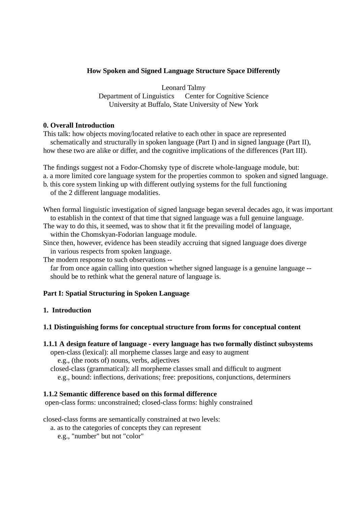# **How Spoken and Signed Language Structure Space Differently**

Leonard Talmy Department of Linguistics Center for Cognitive Science University at Buffalo, State University of New York

## **0. Overall Introduction**

This talk: how objects moving/located relative to each other in space are represented schematically and structurally in spoken language (Part I) and in signed language (Part II), how these two are alike or differ, and the cognitive implications of the differences (Part III).

The findings suggest not a Fodor-Chomsky type of discrete whole-language module, but:

a. a more limited core language system for the properties common to spoken and signed language.

- b. this core system linking up with different outlying systems for the full functioning
- of the 2 different language modalities.
- When formal linguistic investigation of signed language began several decades ago, it was important to establish in the context of that time that signed language was a full genuine language.
- The way to do this, it seemed, was to show that it fit the prevailing model of language, within the Chomskyan-Fodorian language module.
- Since then, however, evidence has been steadily accruing that signed language does diverge in various respects from spoken language.
- The modern response to such observations --

far from once again calling into question whether signed language is a genuine language -should be to rethink what the general nature of language is.

# **Part I: Spatial Structuring in Spoken Language**

# **1. Introduction**

# **1.1 Distinguishing forms for conceptual structure from forms for conceptual content**

- **1.1.1 A design feature of language every language has two formally distinct subsystems**
	- open-class (lexical): all morpheme classes large and easy to augment
		- e.g., (the roots of) nouns, verbs, adjectives

closed-class (grammatical): all morpheme classes small and difficult to augment e.g., bound: inflections, derivations; free: prepositions, conjunctions, determiners

# **1.1.2 Semantic difference based on this formal difference**

open-class forms: unconstrained; closed-class forms: highly constrained

closed-class forms are semantically constrained at two levels:

a. as to the categories of concepts they can represent

e.g., "number" but not "color"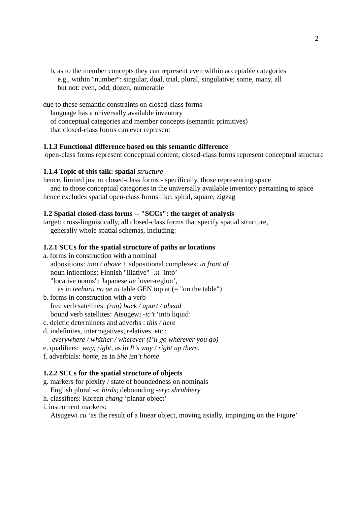b. as to the member concepts they can represent even within acceptable categories e.g., within "number": singular, dual, trial, plural, singulative; some, many, all but not: even, odd, dozen, numerable

due to these semantic constraints on closed-class forms language has a universally available inventory of conceptual categories and member concepts (semantic primitives) that closed-class forms can ever represent

### **1.1.3 Functional difference based on this semantic difference**

open-class forms represent conceptual content; closed-class forms represent conceptual structure

### **1.1.4 Topic of this talk: spatial** *structure*

hence, limited just to closed-class forms - specifically, those representing space and to those conceptual categories in the universally available inventory pertaining to space hence excludes spatial open-class forms like: spiral, square, zigzag

#### **1.2 Spatial closed-class forms -- "SCCs": the target of analysis**

target: cross-linguistically, all closed-class forms that specify spatial structure, generally whole spatial schemas, including:

## **1.2.1 SCCs for the spatial structure of paths or locations**

- a. forms in construction with a nominal adpositions: *into / above* + adpositional complexes: *in front of* noun inflections: Finnish "illative" *-:n* `into' "locative nouns": Japanese *ue* `over-region', as in *teeburu no ue ni* table GEN top at  $(=$  "on the table")
- b. forms in construction with a verb free verb satellites: *(run) back / apart / ahead* bound verb satellites: Atsugewi *-ic't* 'into liquid'
- c. deictic determiners and adverbs : *this / here*
- d. indefinites, interrogatives, relatives, etc.: *everywhere / whither / wherever (I'll go wherever you go)*
- e. qualifiers: *way, right*, as in *It's way / right up there*.
- f. adverbials: *home*, as in *She isn't home*.

#### **1.2.2 SCCs for the spatial structure of objects**

- g. markers for plexity / state of boundedness on nominals English plural *-s*: *birds*; debounding *-ery*: *shrubbery*
- h. classifiers: Korean *chang* 'planar object'
- i. instrument markers:

Atsugewi *cu* 'as the result of a linear object, moving axially, impinging on the Figure'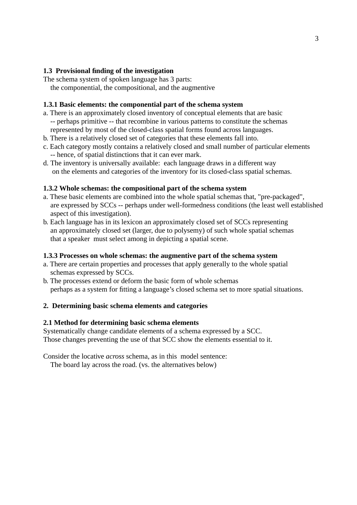## **1.3 Provisional finding of the investigation**

The schema system of spoken language has 3 parts: the componential, the compositional, and the augmentive

## **1.3.1 Basic elements: the componential part of the schema system**

- a. There is an approximately closed inventory of conceptual elements that are basic -- perhaps primitive -- that recombine in various patterns to constitute the schemas represented by most of the closed-class spatial forms found across languages.
- b. There is a relatively closed set of categories that these elements fall into.
- c. Each category mostly contains a relatively closed and small number of particular elements -- hence, of spatial distinctions that it can ever mark.
- d. The inventory is universally available: each language draws in a different way on the elements and categories of the inventory for its closed-class spatial schemas.

#### **1.3.2 Whole schemas: the compositional part of the schema system**

- a. These basic elements are combined into the whole spatial schemas that, "pre-packaged", are expressed by SCCs -- perhaps under well-formedness conditions (the least well established aspect of this investigation).
- b. Each language has in its lexicon an approximately closed set of SCCs representing an approximately closed set (larger, due to polysemy) of such whole spatial schemas that a speaker must select among in depicting a spatial scene.

#### **1.3.3 Processes on whole schemas: the augmentive part of the schema system**

- a. There are certain properties and processes that apply generally to the whole spatial schemas expressed by SCCs.
- b. The processes extend or deform the basic form of whole schemas perhaps as a system for fitting a language's closed schema set to more spatial situations.

### **2. Determining basic schema elements and categories**

#### **2.1 Method for determining basic schema elements**

Systematically change candidate elements of a schema expressed by a SCC. Those changes preventing the use of that SCC show the elements essential to it.

Consider the locative *across* schema, as in this model sentence:

The board lay across the road. (vs. the alternatives below)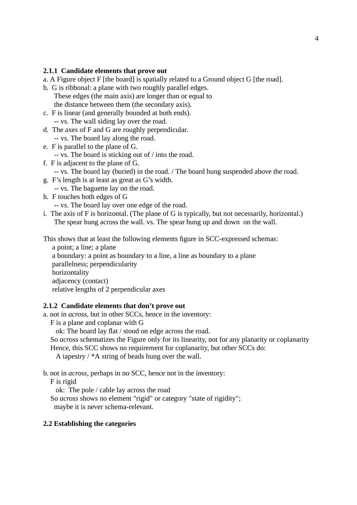## **2.1.1 Candidate elements that prove out**

- a. A Figure object F [the board] is spatially related to a Ground object G [the road].
- b. G is ribbonal: a plane with two roughly parallel edges. These edges (the main axis) are longer than or equal to the distance between them (the secondary axis).
- c. F is linear (and generally bounded at both ends). -- vs. The wall siding lay over the road.
- d. The axes of F and G are roughly perpendicular. -- vs. The board lay along the road.
- e. F is parallel to the plane of G.
	- -- vs. The board is sticking out of / into the road.
- f. F is adjacent to the plane of G.
	- -- vs. The board lay (buried) in the road. / The board hung suspended above the road.
- g. F's length is at least as great as G's width.
- -- vs. The baguette lay on the road.
- h. F touches both edges of G

-- vs. The board lay over one edge of the road.

i. The axis of F is horizontal. (The plane of G is typically, but not necessarily, horizontal.) The spear hung across the wall. vs. The spear hung up and down on the wall.

This shows that at least the following elements figure in SCC-expressed schemas:

a point; a line; a plane a boundary: a point as boundary to a line, a line as boundary to a plane parallelness; perpendicularity horizontality adjacency (contact) relative lengths of 2 perpendicular axes

### **2.1.2 Candidate elements that don't prove out**

a. not in *across*, but in other SCCs, hence in the inventory:

F is a plane and coplanar with G

ok: The board lay flat / stood on edge across the road.

So *across* schematizes the Figure only for its linearity, not for any planarity or coplanarity

Hence, this SCC shows no requirement for coplanarity, but other SCCs do:

A tapestry / \*A string of beads hung over the wall.

b. not in *across*, perhaps in no SCC, hence not in the inventory:

F is rigid

ok: The pole / cable lay across the road

So *across* shows no element "rigid" or category "state of rigidity"; maybe it is never schema-relevant.

### **2.2 Establishing the categories**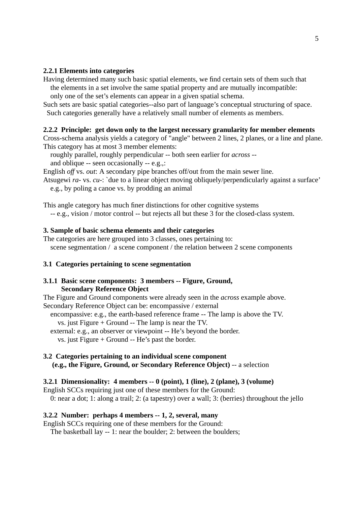### **2.2.1 Elements into categories**

Having determined many such basic spatial elements, we find certain sets of them such that the elements in a set involve the same spatial property and are mutually incompatible: only one of the set's elements can appear in a given spatial schema.

Such sets are basic spatial categories--also part of language's conceptual structuring of space. Such categories generally have a relatively small number of elements as members.

#### **2.2.2 Principle: get down only to the largest necessary granularity for member elements**

Cross-schema analysis yields a category of "angle" between 2 lines, 2 planes, or a line and plane. This category has at most 3 member elements:

roughly parallel, roughly perpendicular -- both seen earlier for *across* - and oblique -- seen occasionally -- e.g.,:

English *off* vs. *out*: A secondary pipe branches off/out from the main sewer line.

Atsugewi *ra-* vs. *cu-*: `due to a linear object moving obliquely/perpendicularly against a surface' e.g., by poling a canoe vs. by prodding an animal

This angle category has much finer distinctions for other cognitive systems

-- e.g., vision / motor control -- but rejects all but these 3 for the closed-class system.

#### **3. Sample of basic schema elements and their categories**

The categories are here grouped into 3 classes, ones pertaining to: scene segmentation / a scene component / the relation between 2 scene components

#### **3.1 Categories pertaining to scene segmentation**

### **3.1.1 Basic scene components: 3 members -- Figure, Ground, Secondary Reference Object**

The Figure and Ground components were already seen in the *across* example above. Secondary Reference Object can be: encompassive / external

encompassive: e.g., the earth-based reference frame -- The lamp is above the TV.

vs. just Figure + Ground -- The lamp is near the TV.

external: e.g., an observer or viewpoint -- He's beyond the border.

vs. just Figure + Ground -- He's past the border.

### **3.2 Categories pertaining to an individual scene component (e.g., the Figure, Ground, or Secondary Reference Object)** -- a selection

### **3.2.1 Dimensionality: 4 members -- 0 (point), 1 (line), 2 (plane), 3 (volume)**

English SCCs requiring just one of these members for the Ground:

0: near a dot; 1: along a trail; 2: (a tapestry) over a wall; 3: (berries) throughout the jello

#### **3.2.2 Number: perhaps 4 members -- 1, 2, several, many**

English SCCs requiring one of these members for the Ground:

The basketball lay -- 1: near the boulder; 2: between the boulders;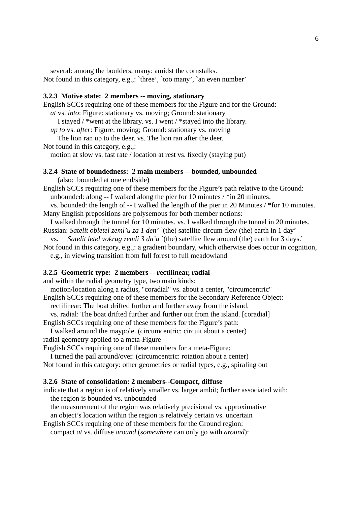several: among the boulders; many: amidst the cornstalks.

Not found in this category, e.g.,: `three', `too many', `an even number'

## **3.2.3 Motive state: 2 members -- moving, stationary**

English SCCs requiring one of these members for the Figure and for the Ground: *at* vs. *into*: Figure: stationary vs. moving; Ground: stationary I stayed / \*went at the library. vs. I went / \*stayed into the library. *up to* vs. *after*: Figure: moving; Ground: stationary vs. moving The lion ran up to the deer. vs. The lion ran after the deer. Not found in this category, e.g.,:

motion at slow vs. fast rate / location at rest vs. fixedly (staying put)

## **3.2.4 State of boundedness: 2 main members -- bounded, unbounded**

(also: bounded at one end/side)

English SCCs requiring one of these members for the Figure's path relative to the Ground: unbounded: along -- I walked along the pier for 10 minutes / \*in 20 minutes.

vs. bounded: the length of -- I walked the length of the pier in 20 Minutes / \*for 10 minutes. Many English prepositions are polysemous for both member notions:

I walked through the tunnel for 10 minutes. vs. I walked through the tunnel in 20 minutes. Russian: *Satelit obletel zeml'u za 1 den'* `(the) satellite circum-flew (the) earth in 1 day'

vs. *Satelit letel vokrug zemli 3 dn'a* `(the) satellite flew around (the) earth for 3 days.' Not found in this category, e.g.,: a gradient boundary, which otherwise does occur in cognition,

e.g., in viewing transition from full forest to full meadowland

#### **3.2.5 Geometric type: 2 members -- rectilinear, radial**

and within the radial geometry type, two main kinds:

motion/location along a radius, "coradial" vs. about a center, "circumcentric"

English SCCs requiring one of these members for the Secondary Reference Object:

rectilinear: The boat drifted further and further away from the island.

vs. radial: The boat drifted further and further out from the island. [coradial]

English SCCs requiring one of these members for the Figure's path:

I walked around the maypole. (circumcentric: circuit about a center) radial geometry applied to a meta-Figure

English SCCs requiring one of these members for a meta-Figure:

I turned the pail around/over. (circumcentric: rotation about a center)

Not found in this category: other geometries or radial types, e.g., spiraling out

## **3.2.6 State of consolidation: 2 members--Compact, diffuse**

indicate that a region is of relatively smaller vs. larger ambit; further associated with: the region is bounded vs. unbounded

the measurement of the region was relatively precisional vs. approximative

an object's location within the region is relatively certain vs. uncertain

English SCCs requiring one of these members for the Ground region: compact *at* vs. diffuse *around* (*somewhere* can only go with *around*):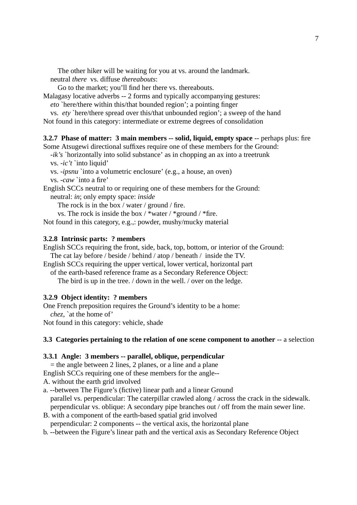The other hiker will be waiting for you at vs. around the landmark. neutral *there* vs. diffuse *thereabouts*:

Go to the market; you'll find her there vs. thereabouts.

Malagasy locative adverbs -- 2 forms and typically accompanying gestures:

*eto* `here/there within this/that bounded region'; a pointing finger

vs. *ety* `here/there spread over this/that unbounded region'; a sweep of the hand Not found in this category: intermediate or extreme degrees of consolidation

**3.2.7 Phase of matter: 3 main members -- solid, liquid, empty space** -- perhaps plus: fire

Some Atsugewi directional suffixes require one of these members for the Ground:

*-ik's* `horizontally into solid substance' as in chopping an ax into a treetrunk

vs. *-ic't* `into liquid'

vs. *-ipsnu* `into a volumetric enclosure' (e.g., a house, an oven) vs. *-caw* `into a fire'

English SCCs neutral to or requiring one of these members for the Ground: neutral: *in*; only empty space: *inside*

The rock is in the box / water / ground / fire.

vs. The rock is inside the box  $/$  \*water  $/$  \*ground  $/$  \*fire.

Not found in this category, e.g.,: powder, mushy/mucky material

## **3.2.8 Intrinsic parts: ? members**

English SCCs requiring the front, side, back, top, bottom, or interior of the Ground:

The cat lay before / beside / behind / atop / beneath / inside the TV.

English SCCs requiring the upper vertical, lower vertical, horizontal part

of the earth-based reference frame as a Secondary Reference Object:

The bird is up in the tree. / down in the well. / over on the ledge.

# **3.2.9 Object identity: ? members**

One French preposition requires the Ground's identity to be a home:

*chez*, `at the home of'

Not found in this category: vehicle, shade

# **3.3 Categories pertaining to the relation of one scene component to another** -- a selection

## **3.3.1 Angle: 3 members -- parallel, oblique, perpendicular**

 $=$  the angle between 2 lines, 2 planes, or a line and a plane English SCCs requiring one of these members for the angle--

A. without the earth grid involved

a. --between The Figure's (fictive) linear path and a linear Ground parallel vs. perpendicular: The caterpillar crawled along / across the crack in the sidewalk. perpendicular vs. oblique: A secondary pipe branches out / off from the main sewer line.

- B. with a component of the earth-based spatial grid involved perpendicular: 2 components -- the vertical axis, the horizontal plane
- b. --between the Figure's linear path and the vertical axis as Secondary Reference Object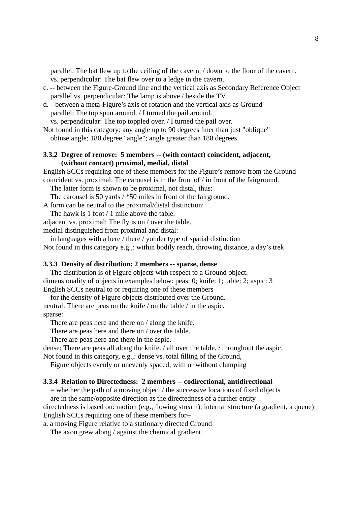parallel: The bat flew up to the ceiling of the cavern. / down to the floor of the cavern. vs. perpendicular: The bat flew over to a ledge in the cavern.

- c. -- between the Figure-Ground line and the vertical axis as Secondary Reference Object parallel vs. perpendicular: The lamp is above / beside the TV.
- d. --between a meta-Figure's axis of rotation and the vertical axis as Ground parallel: The top spun around. / I turned the pail around.

vs. perpendicular: The top toppled over. / I turned the pail over.

Not found in this category: any angle up to 90 degrees finer than just "oblique" obtuse angle; 180 degree "angle"; angle greater than 180 degrees

## **3.3.2 Degree of remove: 5 members -- (with contact) coincident, adjacent, (without contact) proximal, medial, distal**

English SCCs requiring one of these members for the Figure's remove from the Ground coincident vs. proximal: The carousel is in the front of / in front of the fairground.

The latter form is shown to be proximal, not distal, thus:

The carousel is 50 yards / \*50 miles in front of the fairground.

A form can be neutral to the proximal/distal distinction:

The hawk is 1 foot / 1 mile above the table.

adjacent vs. proximal: The fly is on / over the table.

medial distinguished from proximal and distal:

in languages with a here / there / yonder type of spatial distinction Not found in this category e.g.,: within bodily reach, throwing distance, a day's trek

#### **3.3.3 Density of distribution: 2 members -- sparse, dense**

The distribution is of Figure objects with respect to a Ground object. dimensionality of objects in examples below: peas: 0; knife: 1; table: 2; aspic: 3 English SCCs neutral to or requiring one of these members

for the density of Figure objects distributed over the Ground. neutral: There are peas on the knife / on the table / in the aspic. sparse:

There are peas here and there on / along the knife.

There are peas here and there on / over the table.

There are peas here and there in the aspic.

dense: There are peas all along the knife. / all over the table. / throughout the aspic.

Not found in this category, e.g.,: dense vs. total filling of the Ground,

Figure objects evenly or unevenly spaced; with or without clumping

#### **3.3.4 Relation to Directedness: 2 members -- codirectional, antidirectional**

 $=$  whether the path of a moving object / the successive locations of fixed objects are in the same/opposite direction as the directedness of a further entity

directedness is based on: motion (e.g., flowing stream); internal structure (a gradient, a queue) English SCCs requiring one of these members for--

a. a moving Figure relative to a stationary directed Ground

The axon grew along / against the chemical gradient.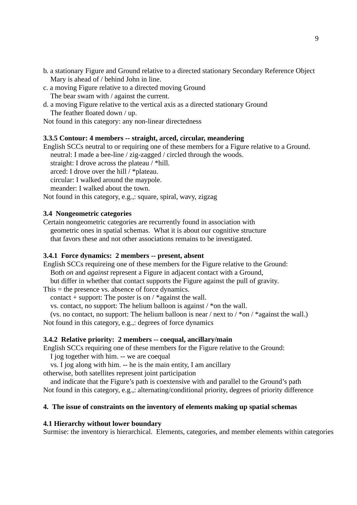- b. a stationary Figure and Ground relative to a directed stationary Secondary Reference Object Mary is ahead of / behind John in line.
- c. a moving Figure relative to a directed moving Ground The bear swam with / against the current.
- d. a moving Figure relative to the vertical axis as a directed stationary Ground The feather floated down / up.

Not found in this category: any non-linear directedness

### **3.3.5 Contour: 4 members -- straight, arced, circular, meandering**

English SCCs neutral to or requiring one of these members for a Figure relative to a Ground. neutral: I made a bee-line / zig-zagged / circled through the woods. straight: I drove across the plateau / \*hill. arced: I drove over the hill / \*plateau. circular: I walked around the maypole. meander: I walked about the town. Not found in this category, e.g.,: square, spiral, wavy, zigzag

### **3.4 Nongeometric categories**

Certain nongeometric categories are recurrently found in association with geometric ones in spatial schemas. What it is about our cognitive structure that favors these and not other associations remains to be investigated.

#### **3.4.1 Force dynamics: 2 members -- present, absent**

English SCCs requireing one of these members for the Figure relative to the Ground: Both *on* and *against* represent a Figure in adjacent contact with a Ground, but differ in whether that contact supports the Figure against the pull of gravity.

This  $=$  the presence vs. absence of force dynamics.

contact + support: The poster is on  $/$  \*against the wall.

vs. contact, no support: The helium balloon is against  $\ell^*$  on the wall.

(vs. no contact, no support: The helium balloon is near / next to /  $*$ on /  $*$ against the wall.) Not found in this category, e.g.,: degrees of force dynamics

### **3.4.2 Relative priority: 2 members -- coequal, ancillary/main**

English SCCs requiring one of these members for the Figure relative to the Ground:

I jog together with him. -- we are coequal

vs. I jog along with him. -- he is the main entity, I am ancillary

otherwise, both satellites represent joint participation

and indicate that the Figure's path is coextensive with and parallel to the Ground's path Not found in this category, e.g.,: alternating/conditional priority, degrees of priority difference

#### **4. The issue of constraints on the inventory of elements making up spatial schemas**

### **4.1 Hierarchy without lower boundary**

Surmise: the inventory is hierarchical. Elements, categories, and member elements within categories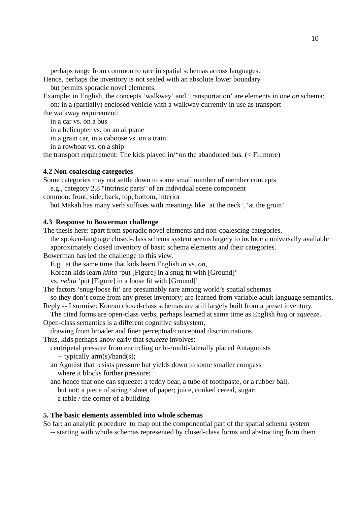perhaps range from common to rare in spatial schemas across languages.

Hence, perhaps the inventory is not sealed with an absolute lower boundary

but permits sporadic novel elements.

Example: in English, the concepts 'walkway' and 'transportation' are elements in one *on* schema: on: in a (partially) enclosed vehicle with a walkway currently in use as transport

10

the walkway requirement:

in a car vs. on a bus

in a helicopter vs. on an airplane

in a grain car, in a caboose vs. on a train

in a rowboat vs. on a ship

the transport requirement: The kids played in/\*on the abandoned bus. (< Fillmore)

# **4.2 Non-coalescing categories**

Some categories may not settle down to some small number of member concepts e.g., category 2.8 "intrinsic parts" of an individual scene component

common: front, side, back, top, bottom, interior

but Makah has many verb suffixes with meanings like 'at the neck', 'at the groin'

# **4.3 Response to Bowerman challenge**

The thesis here: apart from sporadic novel elements and non-coalescing categories,

the spoken-language closed-class schema system seems largely to include a universally available approximately closed inventory of basic schema elements and their categories.

Bowerman has led the challenge to this view.

E.g., at the same time that kids learn English *in* vs. *on*,

Korean kids learn *kkita* 'put [Figure] in a snug fit with [Ground]'

vs. *nehta* 'put [Figure] in a loose fit with [Ground]'

The factors 'snug/loose fit' are presumably rare among world's spatial schemas

so they don't come from any preset inventory; are learned from variable adult language semantics.

Reply -- I surmise: Korean closed-class schemas are still largely built from a preset inventory.

The cited forms are open-class verbs, perhaps learned at same time as English *hug* or *squeeze*. Open-class semantics is a different cognitive subsystem,

drawing from broader and finer perceptual/conceptual discriminations.

Thus, kids perhaps know early that *squeeze* involves:

- centripetal pressure from encircling or bi-/multi-laterally placed Antagonists -- typically arm(s)/hand(s);
- an Agonist that resists pressure but yields down to some smaller compass where it blocks further pressure;
- and hence that one can squeeze: a teddy bear, a tube of toothpaste, or a rubber ball, but not: a piece of string / sheet of paper; juice, cooked cereal, sugar; a table / the corner of a building

# **5. The basic elements assembled into whole schemas**

So far: an analytic procedure to map out the componential part of the spatial schema system -- starting with whole schemas represented by closed-class forms and abstracting from them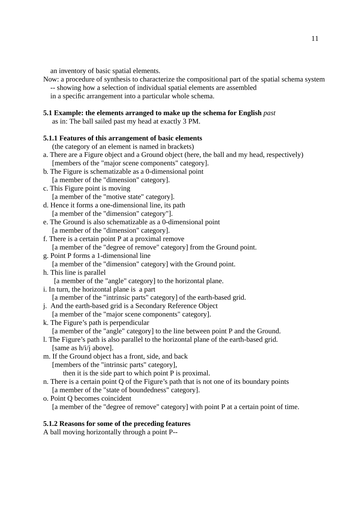an inventory of basic spatial elements.

Now: a procedure of synthesis to characterize the compositional part of the spatial schema system -- showing how a selection of individual spatial elements are assembled

in a specific arrangement into a particular whole schema.

# **5.1 Example: the elements arranged to make up the schema for English** *past*

as in: The ball sailed past my head at exactly 3 PM.

# **5.1.1 Features of this arrangement of basic elements**

(the category of an element is named in brackets)

- a. There are a Figure object and a Ground object (here, the ball and my head, respectively) [members of the "major scene components" category].
- b. The Figure is schematizable as a 0-dimensional point [a member of the "dimension" category].
- c. This Figure point is moving [a member of the "motive state" category].
- d. Hence it forms a one-dimensional line, its path [a member of the "dimension" category"].
- e. The Ground is also schematizable as a 0-dimensional point [a member of the "dimension" category].
- f. There is a certain point P at a proximal remove [a member of the "degree of remove" category] from the Ground point.
- g. Point P forms a 1-dimensional line [a member of the "dimension" category] with the Ground point.
- h. This line is parallel
	- [a member of the "angle" category] to the horizontal plane.
- i. In turn, the horizontal plane is a part
	- [a member of the "intrinsic parts" category] of the earth-based grid.
- j. And the earth-based grid is a Secondary Reference Object [a member of the "major scene components" category].
- k. The Figure's path is perpendicular [a member of the "angle" category] to the line between point P and the Ground.
- l. The Figure's path is also parallel to the horizontal plane of the earth-based grid. [same as h/i/j above].
- m. If the Ground object has a front, side, and back [members of the "intrinsic parts" category], then it is the side part to which point P is proximal.
- n. There is a certain point Q of the Figure's path that is not one of its boundary points [a member of the "state of boundedness" category].
- o. Point Q becomes coincident [a member of the "degree of remove" category] with point P at a certain point of time.

# **5.1.2 Reasons for some of the preceding features**

A ball moving horizontally through a point P--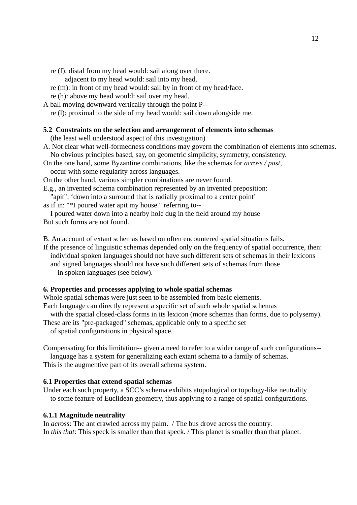re (f): distal from my head would: sail along over there.

adjacent to my head would: sail into my head.

- re (m): in front of my head would: sail by in front of my head/face.
- re (h): above my head would: sail over my head.
- A ball moving downward vertically through the point P--

re (l): proximal to the side of my head would: sail down alongside me.

#### **5.2 Constraints on the selection and arrangement of elements into schemas**

(the least well understood aspect of this investigation)

A. Not clear what well-formedness conditions may govern the combination of elements into schemas. No obvious principles based, say, on geometric simplicity, symmetry, consistency.

On the one hand, some Byzantine combinations, like the schemas for *across / past*,

occur with some regularity across languages.

On the other hand, various simpler combinations are never found.

E.g., an invented schema combination represented by an invented preposition:

"apit": 'down into a surround that is radially proximal to a center point'

as if in: "\*I poured water apit my house." referring to--

I poured water down into a nearby hole dug in the field around my house But such forms are not found.

B. An account of extant schemas based on often encountered spatial situations fails.

If the presence of linguistic schemas depended only on the frequency of spatial occurrence, then: individual spoken languages should not have such different sets of schemas in their lexicons and signed languages should not have such different sets of schemas from those in spoken languages (see below).

### **6. Properties and processes applying to whole spatial schemas**

Whole spatial schemas were just seen to be assembled from basic elements.

Each language can directly represent a specific set of such whole spatial schemas

with the spatial closed-class forms in its lexicon (more schemas than forms, due to polysemy).

These are its "pre-packaged" schemas, applicable only to a specific set

of spatial configurations in physical space.

Compensating for this limitation-- given a need to refer to a wider range of such configurations- language has a system for generalizing each extant schema to a family of schemas.

This is the augmentive part of its overall schema system.

### **6.1 Properties that extend spatial schemas**

Under each such property, a SCC's schema exhibits atopological or topology-like neutrality to some feature of Euclidean geometry, thus applying to a range of spatial configurations.

### **6.1.1 Magnitude neutrality**

In *across*: The ant crawled across my palm. / The bus drove across the country. In *this that*: This speck is smaller than that speck. / This planet is smaller than that planet.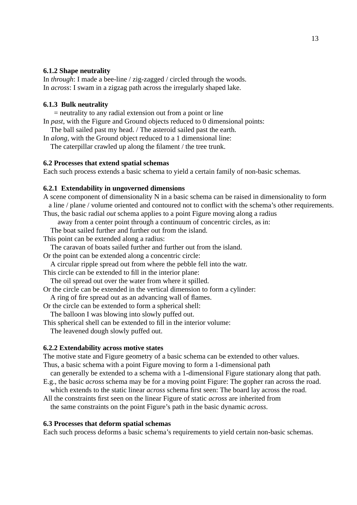### **6.1.2 Shape neutrality**

In *through*: I made a bee-line / zig-zagged / circled through the woods. In *across*: I swam in a zigzag path across the irregularly shaped lake.

## **6.1.3 Bulk neutrality**

= neutrality to any radial extension out from a point or line

In *past*, with the Figure and Ground objects reduced to 0 dimensional points:

The ball sailed past my head. / The asteroid sailed past the earth.

In *along*, with the Ground object reduced to a 1 dimensional line:

The caterpillar crawled up along the filament / the tree trunk.

## **6.2 Processes that extend spatial schemas**

Each such process extends a basic schema to yield a certain family of non-basic schemas.

### **6.2.1 Extendability in ungoverned dimensions**

A scene component of dimensionality N in a basic schema can be raised in dimensionality to form a line / plane / volume oriented and contoured not to conflict with the schema's other requirements.

Thus, the basic radial *out* schema applies to a point Figure moving along a radius away from a center point through a continuum of concentric circles, as in:

The boat sailed further and further out from the island.

This point can be extended along a radius:

The caravan of boats sailed further and further out from the island.

Or the point can be extended along a concentric circle:

A circular ripple spread out from where the pebble fell into the watr.

This circle can be extended to fill in the interior plane:

The oil spread out over the water from where it spilled.

Or the circle can be extended in the vertical dimension to form a cylinder:

A ring of fire spread out as an advancing wall of flames.

Or the circle can be extended to form a spherical shell:

The balloon I was blowing into slowly puffed out.

This spherical shell can be extended to fill in the interior volume:

The leavened dough slowly puffed out.

### **6.2.2 Extendability across motive states**

The motive state and Figure geometry of a basic schema can be extended to other values.

Thus, a basic schema with a point Figure moving to form a 1-dimensional path

can generally be extended to a schema with a 1-dimensional Figure stationary along that path.

E.g., the basic *across* schema may be for a moving point Figure: The gopher ran across the road. which extends to the static linear *across* schema first seen: The board lay across the road.

All the constraints first seen on the linear Figure of static *across* are inherited from the same constraints on the point Figure's path in the basic dynamic *across*.

### **6.3 Processes that deform spatial schemas**

Each such process deforms a basic schema's requirements to yield certain non-basic schemas.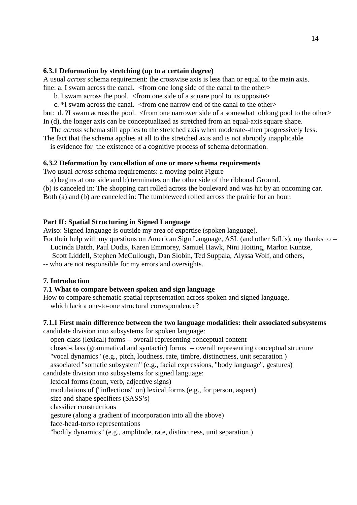### **6.3.1 Deformation by stretching (up to a certain degree)**

A usual *across* schema requirement: the crosswise axis is less than or equal to the main axis. fine: a. I swam across the canal. <from one long side of the canal to the other>

b. I swam across the pool. <from one side of a square pool to its opposite>

c. \*I swam across the canal. <from one narrow end of the canal to the other>

but: d. ?I swam across the pool. <from one narrower side of a somewhat oblong pool to the other> In (d), the longer axis can be conceptualized as stretched from an equal-axis square shape.

The *across* schema still applies to the stretched axis when moderate--then progressively less.

The fact that the schema applies at all to the stretched axis and is not abruptly inapplicable

is evidence for the existence of a cognitive process of schema deformation.

### **6.3.2 Deformation by cancellation of one or more schema requirements**

Two usual *across* schema requirements: a moving point Figure

a) begins at one side and b) terminates on the other side of the ribbonal Ground. (b) is canceled in: The shopping cart rolled across the boulevard and was hit by an oncoming car.

Both (a) and (b) are canceled in: The tumbleweed rolled across the prairie for an hour.

## **Part II: Spatial Structuring in Signed Language**

Aviso: Signed language is outside my area of expertise (spoken language).

For their help with my questions on American Sign Language, ASL (and other SdL's), my thanks to -- Lucinda Batch, Paul Dudis, Karen Emmorey, Samuel Hawk, Nini Hoiting, Marlon Kuntze,

Scott Liddell, Stephen McCullough, Dan Slobin, Ted Suppala, Alyssa Wolf, and others,

-- who are not responsible for my errors and oversights.

## **7. Introduction**

## **7.1 What to compare between spoken and sign language**

How to compare schematic spatial representation across spoken and signed language, which lack a one-to-one structural correspondence?

## **7.1.1 First main difference between the two language modalities: their associated subsystems**

candidate division into subsystems for spoken language:

open-class (lexical) forms -- overall representing conceptual content

closed-class (grammatical and syntactic) forms -- overall representing conceptual structure "vocal dynamics" (e.g., pitch, loudness, rate, timbre, distinctness, unit separation )

associated "somatic subsystem" (e.g., facial expressions, "body language", gestures) candidate division into subsystems for signed language:

lexical forms (noun, verb, adjective signs)

modulations of ("inflections" on) lexical forms (e.g., for person, aspect)

size and shape specifiers (SASS's)

classifier constructions

gesture (along a gradient of incorporation into all the above)

face-head-torso representations

"bodily dynamics" (e.g., amplitude, rate, distinctness, unit separation )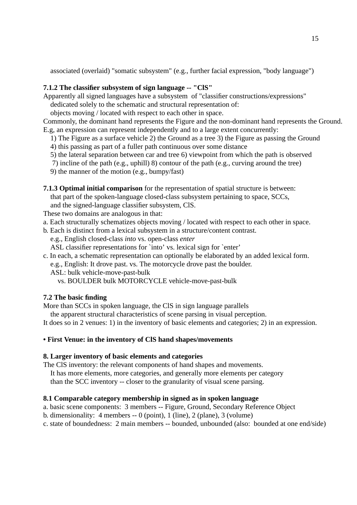associated (overlaid) "somatic subsystem" (e.g., further facial expression, "body language")

# **7.1.2 The classifier subsystem of sign language -- "ClS"**

Apparently all signed languages have a subsystem of "classifier constructions/expressions"

dedicated solely to the schematic and structural representation of:

objects moving / located with respect to each other in space.

Commonly, the dominant hand represents the Figure and the non-dominant hand represents the Ground. E.g, an expression can represent independently and to a large extent concurrently:

- 1) The Figure as a surface vehicle 2) the Ground as a tree 3) the Figure as passing the Ground
- 4) this passing as part of a fuller path continuous over some distance
- 5) the lateral separation between car and tree 6) viewpoint from which the path is observed
- 7) incline of the path (e.g., uphill) 8) contour of the path (e.g., curving around the tree)
- 9) the manner of the motion (e.g., bumpy/fast)

**7.1.3 Optimal initial comparison** for the representation of spatial structure is between: that part of the spoken-language closed-class subsystem pertaining to space, SCCs, and the signed-language classifier subsystem, ClS.

These two domains are analogous in that:

- a. Each structurally schematizes objects moving / located with respect to each other in space.
- b. Each is distinct from a lexical subsystem in a structure/content contrast.

e.g., English closed-class *into* vs. open-class *enter*

ASL classifier representations for `into' vs. lexical sign for `enter'

c. In each, a schematic representation can optionally be elaborated by an added lexical form. e.g., English: It drove past. vs. The motorcycle drove past the boulder.

ASL: bulk vehicle-move-past-bulk

vs. BOULDER bulk MOTORCYCLE vehicle-move-past-bulk

# **7.2 The basic finding**

More than SCCs in spoken language, the ClS in sign language parallels

the apparent structural characteristics of scene parsing in visual perception.

It does so in 2 venues: 1) in the inventory of basic elements and categories; 2) in an expression.

# **• First Venue: in the inventory of ClS hand shapes/movements**

# **8. Larger inventory of basic elements and categories**

The ClS inventory: the relevant components of hand shapes and movements.

It has more elements, more categories, and generally more elements per category

than the SCC inventory -- closer to the granularity of visual scene parsing.

# **8.1 Comparable category membership in signed as in spoken language**

a. basic scene components: 3 members -- Figure, Ground, Secondary Reference Object

- b. dimensionality:  $\overline{4}$  members  $0$  (point),  $1$  (line),  $2$  (plane),  $3$  (volume)
- c. state of boundedness: 2 main members -- bounded, unbounded (also: bounded at one end/side)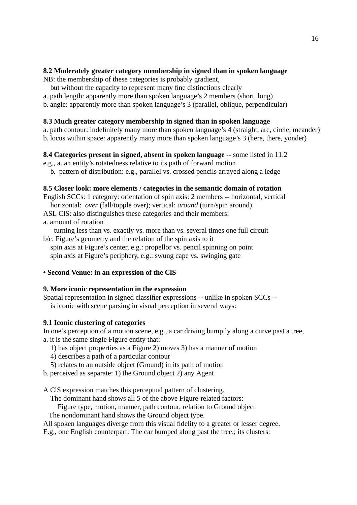## **8.2 Moderately greater category membership in signed than in spoken language**

NB: the membership of these categories is probably gradient,

- but without the capacity to represent many fine distinctions clearly
- a. path length: apparently more than spoken language's 2 members (short, long)
- b. angle: apparently more than spoken language's 3 (parallel, oblique, perpendicular)

# **8.3 Much greater category membership in signed than in spoken language**

a. path contour: indefinitely many more than spoken language's 4 (straight, arc, circle, meander)

b. locus within space: apparently many more than spoken language's 3 (here, there, yonder)

## **8.4 Categories present in signed, absent in spoken language** -- some listed in 11.2

- e.g., a. an entity's rotatedness relative to its path of forward motion
	- b. pattern of distribution: e.g., parallel vs. crossed pencils arrayed along a ledge

## **8.5 Closer look: more elements / categories in the semantic domain of rotation**

English SCCs: 1 category: orientation of spin axis: 2 members -- horizontal, vertical horizontal: *over* (fall/topple over); vertical: *around* (turn/spin around)

- ASL ClS: also distinguishes these categories and their members:
- a. amount of rotation

turning less than vs. exactly vs. more than vs. several times one full circuit b/c. Figure's geometry and the relation of the spin axis to it

- spin axis at Figure's center, e.g.: propellor vs. pencil spinning on point spin axis at Figure's periphery, e.g.: swung cape vs. swinging gate
- **Second Venue: in an expression of the ClS**

## **9. More iconic representation in the expression**

Spatial representation in signed classifier expressions -- unlike in spoken SCCs - is iconic with scene parsing in visual perception in several ways:

## **9.1 Iconic clustering of categories**

In one's perception of a motion scene, e.g., a car driving bumpily along a curve past a tree, a. it is the same single Figure entity that:

- 1) has object properties as a Figure 2) moves 3) has a manner of motion
- 4) describes a path of a particular contour
- 5) relates to an outside object (Ground) in its path of motion
- b. perceived as separate: 1) the Ground object 2) any Agent

A ClS expression matches this perceptual pattern of clustering.

The dominant hand shows all 5 of the above Figure-related factors:

Figure type, motion, manner, path contour, relation to Ground object

The nondominant hand shows the Ground object type.

All spoken languages diverge from this visual fidelity to a greater or lesser degree.

E.g., one English counterpart: The car bumped along past the tree.; its clusters: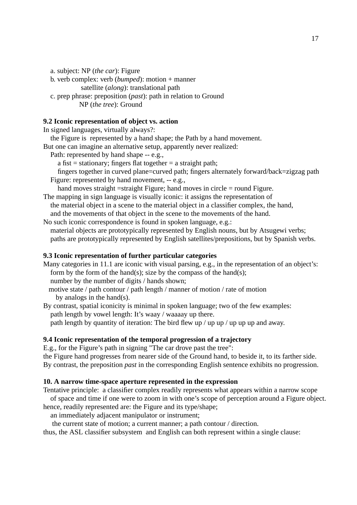a. subject: NP (*the car*): Figure

- b. verb complex: verb (*bumped*): motion + manner satellite (*along*): translational path
- c. prep phrase: preposition (*past*): path in relation to Ground

NP (*the tree*): Ground

## **9.2 Iconic representation of object vs. action**

In signed languages, virtually always?:

the Figure is represented by a hand shape; the Path by a hand movement.

But one can imagine an alternative setup, apparently never realized:

Path: represented by hand shape -- e.g.,

- a fist = stationary; fingers flat together = a straight path;
- fingers together in curved plane=curved path; fingers alternately forward/back=zigzag path Figure: represented by hand movement, -- e.g.,

hand moves straight =straight Figure; hand moves in circle = round Figure. The mapping in sign language is visually iconic: it assigns the representation of

- the material object in a scene to the material object in a classifier complex, the hand, and the movements of that object in the scene to the movements of the hand.
- No such iconic correspondence is found in spoken language, e.g.: material objects are prototypically represented by English nouns, but by Atsugewi verbs; paths are prototypically represented by English satellites/prepositions, but by Spanish verbs.

## **9.3 Iconic representation of further particular categories**

- Many categories in 11.1 are iconic with visual parsing, e.g., in the representation of an object's: form by the form of the hand(s); size by the compass of the hand(s); number by the number of digits / hands shown; motive state / path contour / path length / manner of motion / rate of motion by analogs in the hand(s).
- By contrast, spatial iconicity is minimal in spoken language; two of the few examples: path length by vowel length: It's waay / waaaay up there. path length by quantity of iteration: The bird flew up / up up / up up up and away.

## **9.4 Iconic representation of the temporal progression of a trajectory**

E.g., for the Figure's path in signing "The car drove past the tree":

the Figure hand progresses from nearer side of the Ground hand, to beside it, to its farther side. By contrast, the preposition *past* in the corresponding English sentence exhibits no progression.

### **10. A narrow time-space aperture represented in the expression**

Tentative principle: a classifier complex readily represents what appears within a narrow scope

of space and time if one were to zoom in with one's scope of perception around a Figure object. hence, readily represented are: the Figure and its type/shape;

an immediately adjacent manipulator or instrument;

the current state of motion; a current manner; a path contour / direction.

thus, the ASL classifier subsystem and English can both represent within a single clause: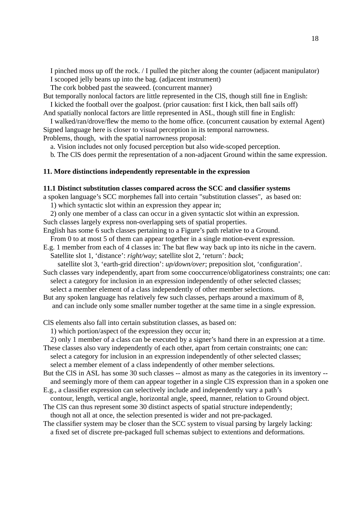I pinched moss up off the rock. / I pulled the pitcher along the counter (adjacent manipulator) I scooped jelly beans up into the bag. (adjacent instrument)

The cork bobbed past the seaweed. (concurrent manner)

But temporally nonlocal factors are little represented in the ClS, though still fine in English: I kicked the football over the goalpost. (prior causation: first I kick, then ball sails off)

And spatially nonlocal factors are little represented in ASL, though still fine in English:

I walked/ran/drove/flew the memo to the home office. (concurrent causation by external Agent) Signed language here is closer to visual perception in its temporal narrowness. Problems, though, with the spatial narrowness proposal:

a. Vision includes not only focused perception but also wide-scoped perception.

b. The ClS does permit the representation of a non-adjacent Ground within the same expression.

## **11. More distinctions independently representable in the expression**

#### **11.1 Distinct substitution classes compared across the SCC and classifier systems**

a spoken language's SCC morphemes fall into certain "substitution classes", as based on:

1) which syntactic slot within an expression they appear in;

2) only one member of a class can occur in a given syntactic slot within an expression. Such classes largely express non-overlapping sets of spatial properties.

English has some 6 such classes pertaining to a Figure's path relative to a Ground. From 0 to at most 5 of them can appear together in a single motion-event expression.

E.g. 1 member from each of 4 classes in: The bat flew way back up into its niche in the cavern. Satellite slot 1, 'distance': *right/way*; satellite slot 2, 'return': *back*;

satellite slot 3, 'earth-grid direction': *up/down/over*; preposition slot, 'configuration'.

Such classes vary independently, apart from some cooccurrence/obligatoriness constraints; one can: select a category for inclusion in an expression independently of other selected classes; select a member element of a class independently of other member selections.

But any spoken language has relatively few such classes, perhaps around a maximum of 8, and can include only some smaller number together at the same time in a single expression.

ClS elements also fall into certain substitution classes, as based on:

1) which portion/aspect of the expression they occur in;

2) only 1 member of a class can be executed by a signer's hand there in an expression at a time.

These classes also vary independently of each other, apart from certain constraints; one can: select a category for inclusion in an expression independently of other selected classes; select a member element of a class independently of other member selections.

But the ClS in ASL has some 30 such classes -- almost as many as the categories in its inventory - and seemingly more of them can appear together in a single ClS expression than in a spoken one

E.g., a classifier expression can selectively include and independently vary a path's contour, length, vertical angle, horizontal angle, speed, manner, relation to Ground object.

The ClS can thus represent some 30 distinct aspects of spatial structure independently; though not all at once, the selection presented is wider and not pre-packaged.

The classifier system may be closer than the SCC system to visual parsing by largely lacking: a fixed set of discrete pre-packaged full schemas subject to extentions and deformations.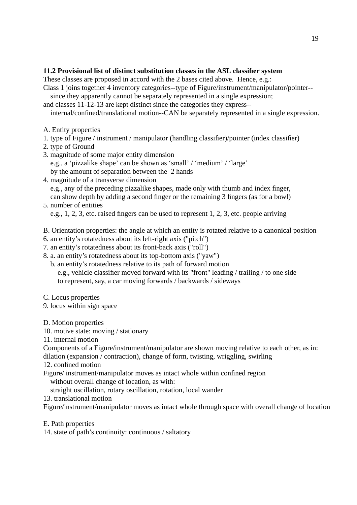# **11.2 Provisional list of distinct substitution classes in the ASL classifier system**

These classes are proposed in accord with the 2 bases cited above. Hence, e.g.:

- Class 1 joins together 4 inventory categories--type of Figure/instrument/manipulator/pointer- since they apparently cannot be separately represented in a single expression;
- and classes 11-12-13 are kept distinct since the categories they express--

internal/confined/translational motion--CAN be separately represented in a single expression.

- A. Entity properties
- 1. type of Figure / instrument / manipulator (handling classifier)/pointer (index classifier)
- 2. type of Ground
- 3. magnitude of some major entity dimension e.g., a 'pizzalike shape' can be shown as 'small' / 'medium' / 'large' by the amount of separation between the 2 hands
- 4. magnitude of a transverse dimension e.g., any of the preceding pizzalike shapes, made only with thumb and index finger, can show depth by adding a second finger or the remaining 3 fingers (as for a bowl)
- 5. number of entities e.g., 1, 2, 3, etc. raised fingers can be used to represent 1, 2, 3, etc. people arriving
- B. Orientation properties: the angle at which an entity is rotated relative to a canonical position
- 6. an entity's rotatedness about its left-right axis ("pitch")
- 7. an entity's rotatedness about its front-back axis ("roll")
- 8. a. an entity's rotatedness about its top-bottom axis ("yaw")
	- b. an entity's rotatedness relative to its path of forward motion e.g., vehicle classifier moved forward with its "front" leading / trailing / to one side to represent, say, a car moving forwards / backwards / sideways
- C. Locus properties
- 9. locus within sign space
- D. Motion properties
- 10. motive state: moving / stationary
- 11. internal motion

Components of a Figure/instrument/manipulator are shown moving relative to each other, as in:

dilation (expansion / contraction), change of form, twisting, wriggling, swirling

- 12. confined motion
- Figure/ instrument/manipulator moves as intact whole within confined region without overall change of location, as with:
	- straight oscillation, rotary oscillation, rotation, local wander
- 13. translational motion

Figure/instrument/manipulator moves as intact whole through space with overall change of location

- E. Path properties
- 14. state of path's continuity: continuous / saltatory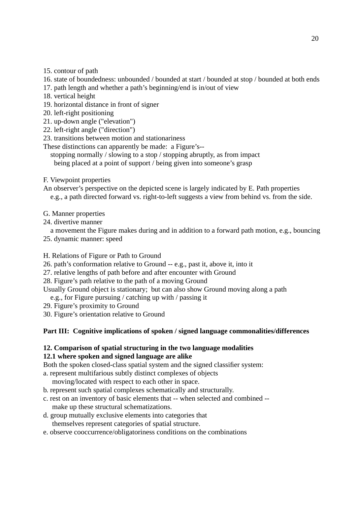- 15. contour of path
- 16. state of boundedness: unbounded / bounded at start / bounded at stop / bounded at both ends
- 17. path length and whether a path's beginning/end is in/out of view
- 18. vertical height
- 19. horizontal distance in front of signer
- 20. left-right positioning
- 21. up-down angle ("elevation")
- 22. left-right angle ("direction")
- 23. transitions between motion and stationariness

These distinctions can apparently be made: a Figure's--

stopping normally / slowing to a stop / stopping abruptly, as from impact being placed at a point of support / being given into someone's grasp

- F. Viewpoint properties
- An observer's perspective on the depicted scene is largely indicated by E. Path properties e.g., a path directed forward vs. right-to-left suggests a view from behind vs. from the side.
- G. Manner properties
- 24. divertive manner

a movement the Figure makes during and in addition to a forward path motion, e.g., bouncing 25. dynamic manner: speed

- H. Relations of Figure or Path to Ground
- 26. path's conformation relative to Ground -- e.g., past it, above it, into it
- 27. relative lengths of path before and after encounter with Ground
- 28. Figure's path relative to the path of a moving Ground

Usually Ground object is stationary; but can also show Ground moving along a path

e.g., for Figure pursuing / catching up with / passing it

- 29. Figure's proximity to Ground
- 30. Figure's orientation relative to Ground

# **Part III: Cognitive implications of spoken / signed language commonalities/differences**

## **12. Comparison of spatial structuring in the two language modalities 12.1 where spoken and signed language are alike**

Both the spoken closed-class spatial system and the signed classifier system:

a. represent multifarious subtly distinct complexes of objects

moving/located with respect to each other in space.

- b. represent such spatial complexes schematically and structurally.
- c. rest on an inventory of basic elements that -- when selected and combined make up these structural schematizations.
- d. group mutually exclusive elements into categories that themselves represent categories of spatial structure.
- e. observe cooccurrence/obligatoriness conditions on the combinations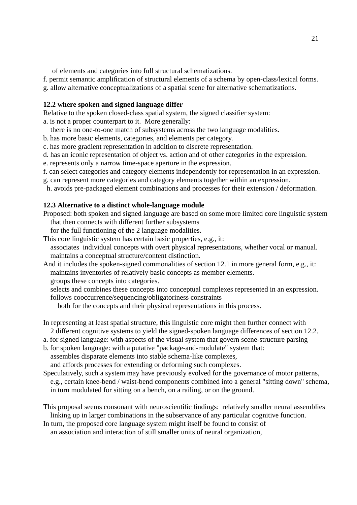of elements and categories into full structural schematizations.

- f. permit semantic amplification of structural elements of a schema by open-class/lexical forms.
- g. allow alternative conceptualizations of a spatial scene for alternative schematizations.

### **12.2 where spoken and signed language differ**

Relative to the spoken closed-class spatial system, the signed classifier system:

a. is not a proper counterpart to it. More generally:

- there is no one-to-one match of subsystems across the two language modalities.
- b. has more basic elements, categories, and elements per category.
- c. has more gradient representation in addition to discrete representation.
- d. has an iconic representation of object vs. action and of other categories in the expression.
- e. represents only a narrow time-space aperture in the expression.
- f. can select categories and category elements independently for representation in an expression.
- g. can represent more categories and category elements together within an expression.
- h. avoids pre-packaged element combinations and processes for their extension / deformation.

### **12.3 Alternative to a distinct whole-language module**

Proposed: both spoken and signed language are based on some more limited core linguistic system that then connects with different further subsystems

for the full functioning of the 2 language modalities.

- This core linguistic system has certain basic properties, e.g., it: associates individual concepts with overt physical representations, whether vocal or manual. maintains a conceptual structure/content distinction.
- And it includes the spoken-signed commonalities of section 12.1 in more general form, e.g., it: maintains inventories of relatively basic concepts as member elements. groups these concepts into categories.
	- selects and combines these concepts into conceptual complexes represented in an expression. follows cooccurrence/sequencing/obligatoriness constraints

both for the concepts and their physical representations in this process.

- In representing at least spatial structure, this linguistic core might then further connect with 2 different cognitive systems to yield the signed-spoken language differences of section 12.2.
- a. for signed language: with aspects of the visual system that govern scene-structure parsing
- b. for spoken language: with a putative "package-and-modulate" system that: assembles disparate elements into stable schema-like complexes, and affords processes for extending or deforming such complexes.
- Speculatively, such a system may have previously evolved for the governance of motor patterns, e.g., certain knee-bend / waist-bend components combined into a general "sitting down" schema, in turn modulated for sitting on a bench, on a railing, or on the ground.

This proposal seems consonant with neuroscientific findings: relatively smaller neural assemblies linking up in larger combinations in the subservance of any particular cognitive function.

In turn, the proposed core language system might itself be found to consist of

an association and interaction of still smaller units of neural organization,